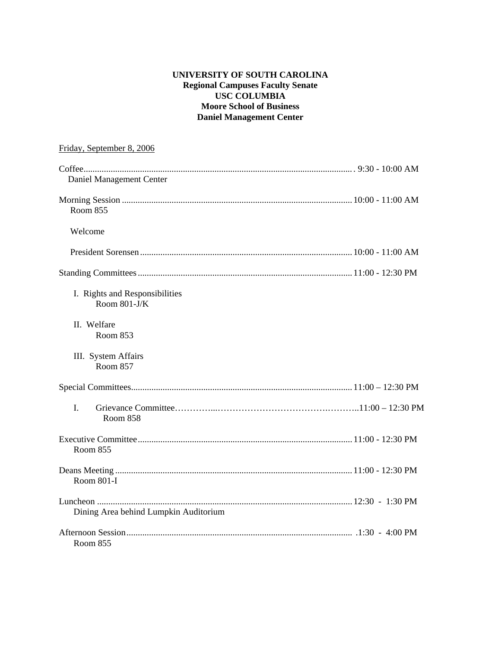## **UNIVERSITY OF SOUTH CAROLINA Regional Campuses Faculty Senate USC COLUMBIA Moore School of Business Daniel Management Center**

| Friday, September 8, 2006                        |
|--------------------------------------------------|
| Daniel Management Center                         |
| Room 855                                         |
| Welcome                                          |
|                                                  |
|                                                  |
| I. Rights and Responsibilities<br>Room $801-J/K$ |
| II. Welfare<br>Room 853                          |
| III. System Affairs<br><b>Room 857</b>           |
|                                                  |
| L<br>Room 858                                    |
| <b>Room 855</b>                                  |
| Room 801-I                                       |
| Dining Area behind Lumpkin Auditorium            |
| Room 855                                         |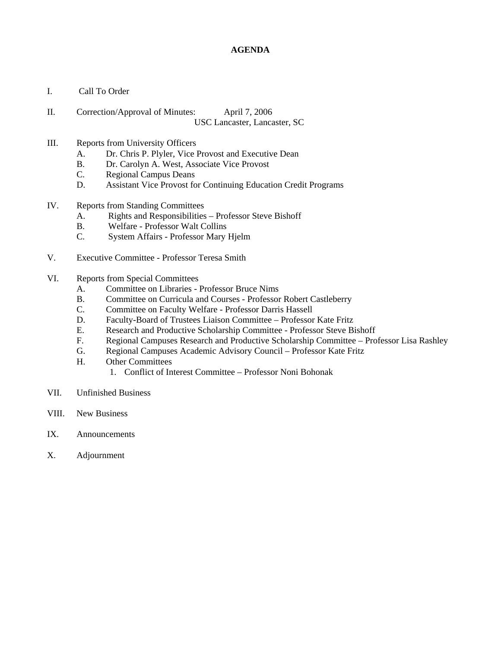### **AGENDA**

- I. Call To Order
- II. Correction/Approval of Minutes: April 7, 2006 USC Lancaster, Lancaster, SC
- III. Reports from University Officers
	- A. Dr. Chris P. Plyler, Vice Provost and Executive Dean
	- B. Dr. Carolyn A. West, Associate Vice Provost
	- C. Regional Campus Deans
	- D. Assistant Vice Provost for Continuing Education Credit Programs
- IV. Reports from Standing Committees
	- A. Rights and Responsibilities Professor Steve Bishoff
	- B. Welfare Professor Walt Collins
	- C. System Affairs Professor Mary Hjelm
- V. Executive Committee Professor Teresa Smith
- VI. Reports from Special Committees
	- A. Committee on Libraries Professor Bruce Nims
	- B. Committee on Curricula and Courses Professor Robert Castleberry
	- C. Committee on Faculty Welfare Professor Darris Hassell
	- D. Faculty-Board of Trustees Liaison Committee Professor Kate Fritz
	- E. Research and Productive Scholarship Committee Professor Steve Bishoff
	- F. Regional Campuses Research and Productive Scholarship Committee Professor Lisa Rashley
	- G. Regional Campuses Academic Advisory Council Professor Kate Fritz
	- H. Other Committees
		- 1. Conflict of Interest Committee Professor Noni Bohonak
- VII. Unfinished Business
- VIII. New Business
- IX. Announcements
- X. Adjournment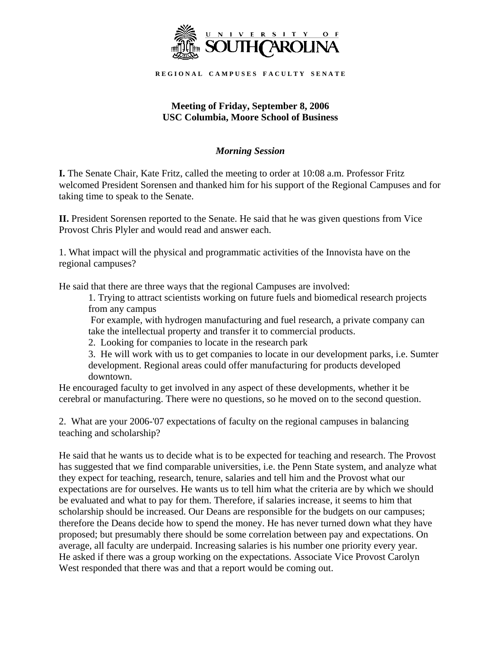

**R E G I O N A L C A M P U S E S F A C U L T Y S E N A T E** 

# **Meeting of Friday, September 8, 2006 USC Columbia, Moore School of Business**

## *Morning Session*

**I.** The Senate Chair, Kate Fritz, called the meeting to order at 10:08 a.m. Professor Fritz welcomed President Sorensen and thanked him for his support of the Regional Campuses and for taking time to speak to the Senate.

**II.** President Sorensen reported to the Senate. He said that he was given questions from Vice Provost Chris Plyler and would read and answer each.

1. What impact will the physical and programmatic activities of the Innovista have on the regional campuses?

He said that there are three ways that the regional Campuses are involved:

 1. Trying to attract scientists working on future fuels and biomedical research projects from any campus

 For example, with hydrogen manufacturing and fuel research, a private company can take the intellectual property and transfer it to commercial products.

2. Looking for companies to locate in the research park

 3. He will work with us to get companies to locate in our development parks, i.e. Sumter development. Regional areas could offer manufacturing for products developed downtown.

He encouraged faculty to get involved in any aspect of these developments, whether it be cerebral or manufacturing. There were no questions, so he moved on to the second question.

2. What are your 2006-'07 expectations of faculty on the regional campuses in balancing teaching and scholarship?

He said that he wants us to decide what is to be expected for teaching and research. The Provost has suggested that we find comparable universities, i.e. the Penn State system, and analyze what they expect for teaching, research, tenure, salaries and tell him and the Provost what our expectations are for ourselves. He wants us to tell him what the criteria are by which we should be evaluated and what to pay for them. Therefore, if salaries increase, it seems to him that scholarship should be increased. Our Deans are responsible for the budgets on our campuses; therefore the Deans decide how to spend the money. He has never turned down what they have proposed; but presumably there should be some correlation between pay and expectations. On average, all faculty are underpaid. Increasing salaries is his number one priority every year. He asked if there was a group working on the expectations. Associate Vice Provost Carolyn West responded that there was and that a report would be coming out.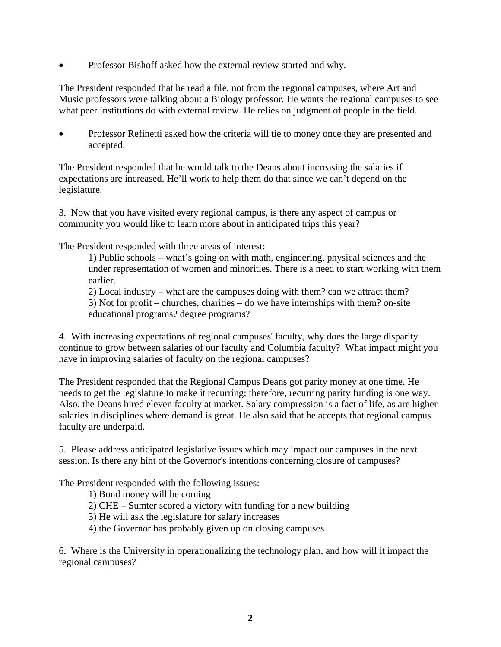• Professor Bishoff asked how the external review started and why.

The President responded that he read a file, not from the regional campuses, where Art and Music professors were talking about a Biology professor. He wants the regional campuses to see what peer institutions do with external review. He relies on judgment of people in the field.

• Professor Refinetti asked how the criteria will tie to money once they are presented and accepted.

The President responded that he would talk to the Deans about increasing the salaries if expectations are increased. He'll work to help them do that since we can't depend on the legislature.

3. Now that you have visited every regional campus, is there any aspect of campus or community you would like to learn more about in anticipated trips this year?

The President responded with three areas of interest:

 1) Public schools – what's going on with math, engineering, physical sciences and the under representation of women and minorities. There is a need to start working with them earlier.

 2) Local industry – what are the campuses doing with them? can we attract them? 3) Not for profit – churches, charities – do we have internships with them? on-site educational programs? degree programs?

4. With increasing expectations of regional campuses' faculty, why does the large disparity continue to grow between salaries of our faculty and Columbia faculty? What impact might you have in improving salaries of faculty on the regional campuses?

The President responded that the Regional Campus Deans got parity money at one time. He needs to get the legislature to make it recurring; therefore, recurring parity funding is one way. Also, the Deans hired eleven faculty at market. Salary compression is a fact of life, as are higher salaries in disciplines where demand is great. He also said that he accepts that regional campus faculty are underpaid.

5. Please address anticipated legislative issues which may impact our campuses in the next session. Is there any hint of the Governor's intentions concerning closure of campuses?

The President responded with the following issues:

- 1) Bond money will be coming
- 2) CHE Sumter scored a victory with funding for a new building
- 3) He will ask the legislature for salary increases
- 4) the Governor has probably given up on closing campuses

6. Where is the University in operationalizing the technology plan, and how will it impact the regional campuses?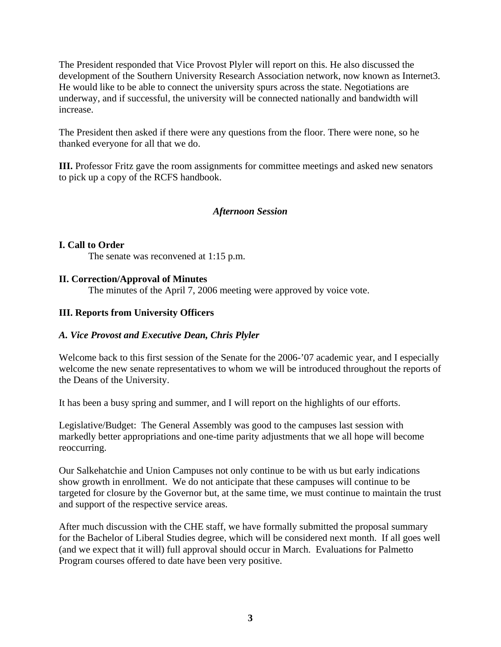The President responded that Vice Provost Plyler will report on this. He also discussed the development of the Southern University Research Association network, now known as Internet3. He would like to be able to connect the university spurs across the state. Negotiations are underway, and if successful, the university will be connected nationally and bandwidth will increase.

The President then asked if there were any questions from the floor. There were none, so he thanked everyone for all that we do.

**III.** Professor Fritz gave the room assignments for committee meetings and asked new senators to pick up a copy of the RCFS handbook.

# *Afternoon Session*

## **I. Call to Order**

The senate was reconvened at 1:15 p.m.

## **II. Correction/Approval of Minutes**

The minutes of the April 7, 2006 meeting were approved by voice vote.

## **III. Reports from University Officers**

## *A. Vice Provost and Executive Dean, Chris Plyler*

Welcome back to this first session of the Senate for the 2006-'07 academic year, and I especially welcome the new senate representatives to whom we will be introduced throughout the reports of the Deans of the University.

It has been a busy spring and summer, and I will report on the highlights of our efforts.

Legislative/Budget: The General Assembly was good to the campuses last session with markedly better appropriations and one-time parity adjustments that we all hope will become reoccurring.

Our Salkehatchie and Union Campuses not only continue to be with us but early indications show growth in enrollment. We do not anticipate that these campuses will continue to be targeted for closure by the Governor but, at the same time, we must continue to maintain the trust and support of the respective service areas.

After much discussion with the CHE staff, we have formally submitted the proposal summary for the Bachelor of Liberal Studies degree, which will be considered next month. If all goes well (and we expect that it will) full approval should occur in March. Evaluations for Palmetto Program courses offered to date have been very positive.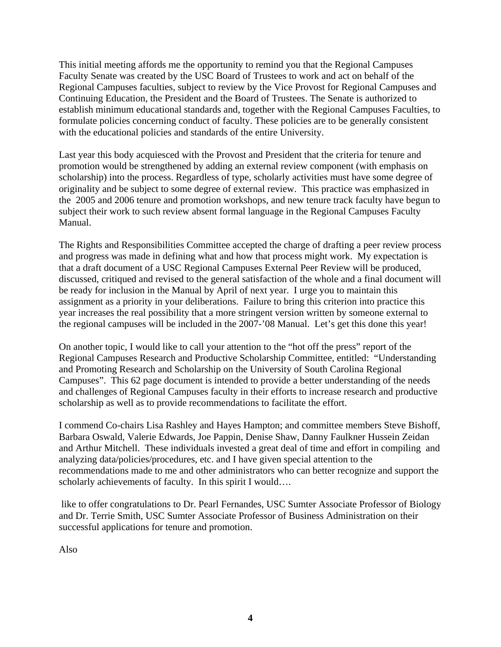This initial meeting affords me the opportunity to remind you that the Regional Campuses Faculty Senate was created by the USC Board of Trustees to work and act on behalf of the Regional Campuses faculties, subject to review by the Vice Provost for Regional Campuses and Continuing Education, the President and the Board of Trustees. The Senate is authorized to establish minimum educational standards and, together with the Regional Campuses Faculties, to formulate policies concerning conduct of faculty. These policies are to be generally consistent with the educational policies and standards of the entire University.

Last year this body acquiesced with the Provost and President that the criteria for tenure and promotion would be strengthened by adding an external review component (with emphasis on scholarship) into the process. Regardless of type, scholarly activities must have some degree of originality and be subject to some degree of external review. This practice was emphasized in the 2005 and 2006 tenure and promotion workshops, and new tenure track faculty have begun to subject their work to such review absent formal language in the Regional Campuses Faculty Manual.

The Rights and Responsibilities Committee accepted the charge of drafting a peer review process and progress was made in defining what and how that process might work. My expectation is that a draft document of a USC Regional Campuses External Peer Review will be produced, discussed, critiqued and revised to the general satisfaction of the whole and a final document will be ready for inclusion in the Manual by April of next year. I urge you to maintain this assignment as a priority in your deliberations. Failure to bring this criterion into practice this year increases the real possibility that a more stringent version written by someone external to the regional campuses will be included in the 2007-'08 Manual. Let's get this done this year!

On another topic, I would like to call your attention to the "hot off the press" report of the Regional Campuses Research and Productive Scholarship Committee, entitled: "Understanding and Promoting Research and Scholarship on the University of South Carolina Regional Campuses". This 62 page document is intended to provide a better understanding of the needs and challenges of Regional Campuses faculty in their efforts to increase research and productive scholarship as well as to provide recommendations to facilitate the effort.

I commend Co-chairs Lisa Rashley and Hayes Hampton; and committee members Steve Bishoff, Barbara Oswald, Valerie Edwards, Joe Pappin, Denise Shaw, Danny Faulkner Hussein Zeidan and Arthur Mitchell. These individuals invested a great deal of time and effort in compiling and analyzing data/policies/procedures, etc. and I have given special attention to the recommendations made to me and other administrators who can better recognize and support the scholarly achievements of faculty. In this spirit I would….

 like to offer congratulations to Dr. Pearl Fernandes, USC Sumter Associate Professor of Biology and Dr. Terrie Smith, USC Sumter Associate Professor of Business Administration on their successful applications for tenure and promotion.

Also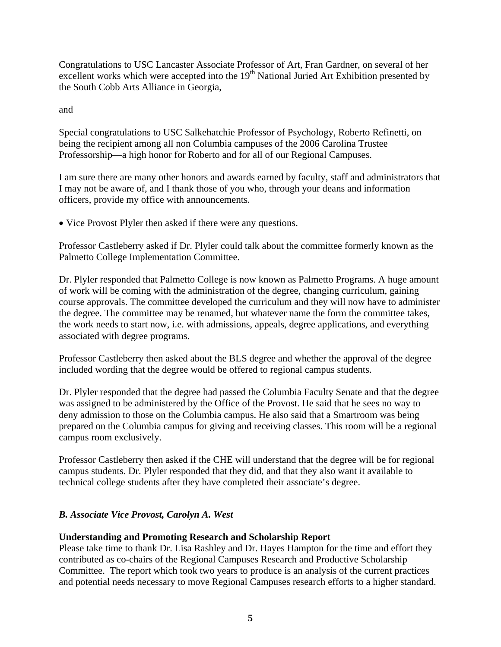Congratulations to USC Lancaster Associate Professor of Art, Fran Gardner, on several of her excellent works which were accepted into the 19<sup>th</sup> National Juried Art Exhibition presented by the South Cobb Arts Alliance in Georgia,

and

Special congratulations to USC Salkehatchie Professor of Psychology, Roberto Refinetti, on being the recipient among all non Columbia campuses of the 2006 Carolina Trustee Professorship—a high honor for Roberto and for all of our Regional Campuses.

I am sure there are many other honors and awards earned by faculty, staff and administrators that I may not be aware of, and I thank those of you who, through your deans and information officers, provide my office with announcements.

• Vice Provost Plyler then asked if there were any questions.

Professor Castleberry asked if Dr. Plyler could talk about the committee formerly known as the Palmetto College Implementation Committee.

Dr. Plyler responded that Palmetto College is now known as Palmetto Programs. A huge amount of work will be coming with the administration of the degree, changing curriculum, gaining course approvals. The committee developed the curriculum and they will now have to administer the degree. The committee may be renamed, but whatever name the form the committee takes, the work needs to start now, i.e. with admissions, appeals, degree applications, and everything associated with degree programs.

Professor Castleberry then asked about the BLS degree and whether the approval of the degree included wording that the degree would be offered to regional campus students.

Dr. Plyler responded that the degree had passed the Columbia Faculty Senate and that the degree was assigned to be administered by the Office of the Provost. He said that he sees no way to deny admission to those on the Columbia campus. He also said that a Smartroom was being prepared on the Columbia campus for giving and receiving classes. This room will be a regional campus room exclusively.

Professor Castleberry then asked if the CHE will understand that the degree will be for regional campus students. Dr. Plyler responded that they did, and that they also want it available to technical college students after they have completed their associate's degree.

# *B. Associate Vice Provost, Carolyn A. West*

# **Understanding and Promoting Research and Scholarship Report**

Please take time to thank Dr. Lisa Rashley and Dr. Hayes Hampton for the time and effort they contributed as co-chairs of the Regional Campuses Research and Productive Scholarship Committee. The report which took two years to produce is an analysis of the current practices and potential needs necessary to move Regional Campuses research efforts to a higher standard.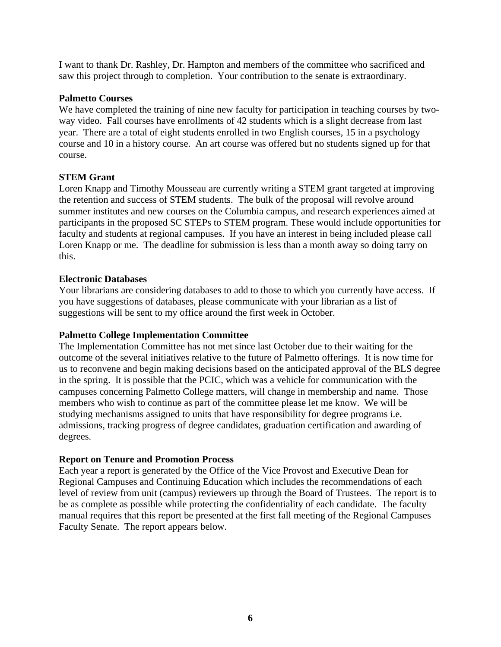I want to thank Dr. Rashley, Dr. Hampton and members of the committee who sacrificed and saw this project through to completion. Your contribution to the senate is extraordinary.

## **Palmetto Courses**

We have completed the training of nine new faculty for participation in teaching courses by twoway video. Fall courses have enrollments of 42 students which is a slight decrease from last year. There are a total of eight students enrolled in two English courses, 15 in a psychology course and 10 in a history course. An art course was offered but no students signed up for that course.

# **STEM Grant**

Loren Knapp and Timothy Mousseau are currently writing a STEM grant targeted at improving the retention and success of STEM students. The bulk of the proposal will revolve around summer institutes and new courses on the Columbia campus, and research experiences aimed at participants in the proposed SC STEPs to STEM program. These would include opportunities for faculty and students at regional campuses. If you have an interest in being included please call Loren Knapp or me. The deadline for submission is less than a month away so doing tarry on this.

## **Electronic Databases**

Your librarians are considering databases to add to those to which you currently have access. If you have suggestions of databases, please communicate with your librarian as a list of suggestions will be sent to my office around the first week in October.

# **Palmetto College Implementation Committee**

The Implementation Committee has not met since last October due to their waiting for the outcome of the several initiatives relative to the future of Palmetto offerings. It is now time for us to reconvene and begin making decisions based on the anticipated approval of the BLS degree in the spring. It is possible that the PCIC, which was a vehicle for communication with the campuses concerning Palmetto College matters, will change in membership and name. Those members who wish to continue as part of the committee please let me know. We will be studying mechanisms assigned to units that have responsibility for degree programs i.e. admissions, tracking progress of degree candidates, graduation certification and awarding of degrees.

## **Report on Tenure and Promotion Process**

Each year a report is generated by the Office of the Vice Provost and Executive Dean for Regional Campuses and Continuing Education which includes the recommendations of each level of review from unit (campus) reviewers up through the Board of Trustees. The report is to be as complete as possible while protecting the confidentiality of each candidate. The faculty manual requires that this report be presented at the first fall meeting of the Regional Campuses Faculty Senate. The report appears below.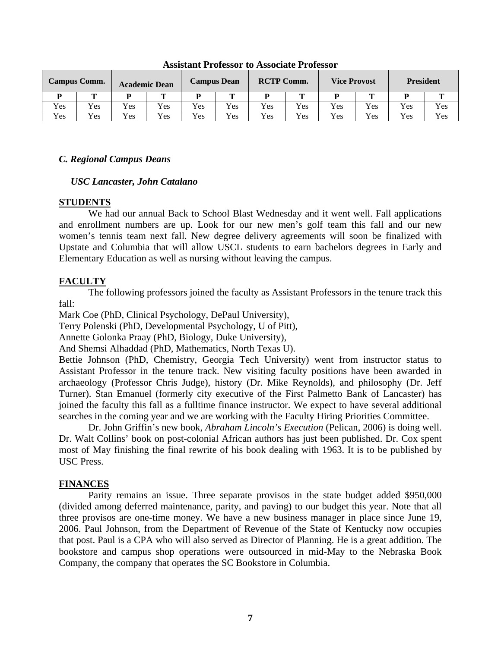| Campus Comm. |     | <b>Academic Dean</b> |            | <b>Campus Dean</b> |     | <b>RCTP Comm.</b> |     | <b>Vice Provost</b> |     | <b>President</b> |     |
|--------------|-----|----------------------|------------|--------------------|-----|-------------------|-----|---------------------|-----|------------------|-----|
|              |     |                      |            |                    | m   | D                 | m   |                     | m   |                  | m   |
| Yes          | Yes | Yes                  | Yes        | Yes                | Yes | Yes               | Yes | Yes                 | Yes | Yes              | Yes |
| Yes          | Yes | Yes                  | <b>Yes</b> | Yes                | Yes | Yes               | Yes | <b>Yes</b>          | Yes | Yes              | Yes |

**Assistant Professor to Associate Professor** 

## *C. Regional Campus Deans*

#### *USC Lancaster, John Catalano*

### **STUDENTS**

We had our annual Back to School Blast Wednesday and it went well. Fall applications and enrollment numbers are up. Look for our new men's golf team this fall and our new women's tennis team next fall. New degree delivery agreements will soon be finalized with Upstate and Columbia that will allow USCL students to earn bachelors degrees in Early and Elementary Education as well as nursing without leaving the campus.

### **FACULTY**

The following professors joined the faculty as Assistant Professors in the tenure track this fall:

Mark Coe (PhD, Clinical Psychology, DePaul University),

Terry Polenski (PhD, Developmental Psychology, U of Pitt),

Annette Golonka Praay (PhD, Biology, Duke University),

And Shemsi Alhaddad (PhD, Mathematics, North Texas U).

Bettie Johnson (PhD, Chemistry, Georgia Tech University) went from instructor status to Assistant Professor in the tenure track. New visiting faculty positions have been awarded in archaeology (Professor Chris Judge), history (Dr. Mike Reynolds), and philosophy (Dr. Jeff Turner). Stan Emanuel (formerly city executive of the First Palmetto Bank of Lancaster) has joined the faculty this fall as a fulltime finance instructor. We expect to have several additional searches in the coming year and we are working with the Faculty Hiring Priorities Committee.

Dr. John Griffin's new book, *Abraham Lincoln's Execution* (Pelican, 2006) is doing well. Dr. Walt Collins' book on post-colonial African authors has just been published. Dr. Cox spent most of May finishing the final rewrite of his book dealing with 1963. It is to be published by USC Press.

## **FINANCES**

Parity remains an issue. Three separate provisos in the state budget added \$950,000 (divided among deferred maintenance, parity, and paving) to our budget this year. Note that all three provisos are one-time money. We have a new business manager in place since June 19, 2006. Paul Johnson, from the Department of Revenue of the State of Kentucky now occupies that post. Paul is a CPA who will also served as Director of Planning. He is a great addition. The bookstore and campus shop operations were outsourced in mid-May to the Nebraska Book Company, the company that operates the SC Bookstore in Columbia.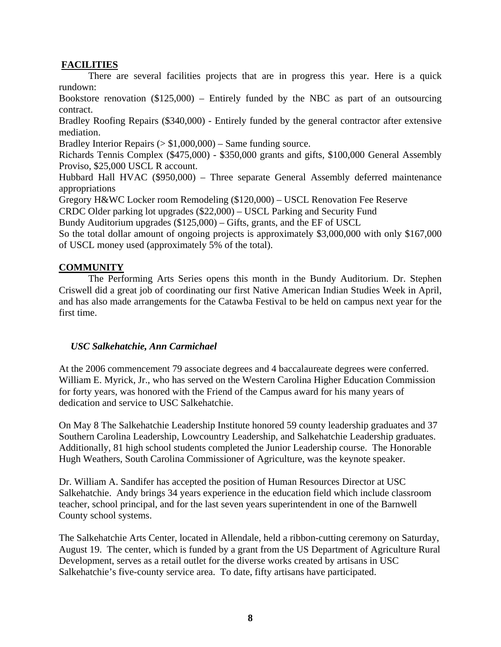## **FACILITIES**

There are several facilities projects that are in progress this year. Here is a quick rundown:

Bookstore renovation (\$125,000) – Entirely funded by the NBC as part of an outsourcing contract.

Bradley Roofing Repairs (\$340,000) - Entirely funded by the general contractor after extensive mediation.

Bradley Interior Repairs  $($  > \$1,000,000) – Same funding source.

Richards Tennis Complex (\$475,000) - \$350,000 grants and gifts, \$100,000 General Assembly Proviso, \$25,000 USCL R account.

Hubbard Hall HVAC (\$950,000) – Three separate General Assembly deferred maintenance appropriations

Gregory H&WC Locker room Remodeling (\$120,000) – USCL Renovation Fee Reserve

CRDC Older parking lot upgrades (\$22,000) – USCL Parking and Security Fund

Bundy Auditorium upgrades (\$125,000) – Gifts, grants, and the EF of USCL

So the total dollar amount of ongoing projects is approximately \$3,000,000 with only \$167,000 of USCL money used (approximately 5% of the total).

## **COMMUNITY**

The Performing Arts Series opens this month in the Bundy Auditorium. Dr. Stephen Criswell did a great job of coordinating our first Native American Indian Studies Week in April, and has also made arrangements for the Catawba Festival to be held on campus next year for the first time.

## *USC Salkehatchie, Ann Carmichael*

At the 2006 commencement 79 associate degrees and 4 baccalaureate degrees were conferred. William E. Myrick, Jr., who has served on the Western Carolina Higher Education Commission for forty years, was honored with the Friend of the Campus award for his many years of dedication and service to USC Salkehatchie.

On May 8 The Salkehatchie Leadership Institute honored 59 county leadership graduates and 37 Southern Carolina Leadership, Lowcountry Leadership, and Salkehatchie Leadership graduates. Additionally, 81 high school students completed the Junior Leadership course. The Honorable Hugh Weathers, South Carolina Commissioner of Agriculture, was the keynote speaker.

Dr. William A. Sandifer has accepted the position of Human Resources Director at USC Salkehatchie. Andy brings 34 years experience in the education field which include classroom teacher, school principal, and for the last seven years superintendent in one of the Barnwell County school systems.

The Salkehatchie Arts Center, located in Allendale, held a ribbon-cutting ceremony on Saturday, August 19. The center, which is funded by a grant from the US Department of Agriculture Rural Development, serves as a retail outlet for the diverse works created by artisans in USC Salkehatchie's five-county service area. To date, fifty artisans have participated.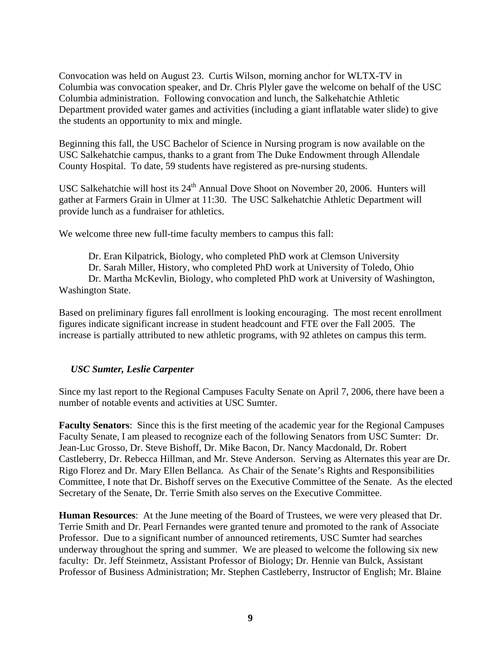Convocation was held on August 23. Curtis Wilson, morning anchor for WLTX-TV in Columbia was convocation speaker, and Dr. Chris Plyler gave the welcome on behalf of the USC Columbia administration. Following convocation and lunch, the Salkehatchie Athletic Department provided water games and activities (including a giant inflatable water slide) to give the students an opportunity to mix and mingle.

Beginning this fall, the USC Bachelor of Science in Nursing program is now available on the USC Salkehatchie campus, thanks to a grant from The Duke Endowment through Allendale County Hospital. To date, 59 students have registered as pre-nursing students.

USC Salkehatchie will host its 24<sup>th</sup> Annual Dove Shoot on November 20, 2006. Hunters will gather at Farmers Grain in Ulmer at 11:30. The USC Salkehatchie Athletic Department will provide lunch as a fundraiser for athletics.

We welcome three new full-time faculty members to campus this fall:

Dr. Eran Kilpatrick, Biology, who completed PhD work at Clemson University

Dr. Sarah Miller, History, who completed PhD work at University of Toledo, Ohio

 Dr. Martha McKevlin, Biology, who completed PhD work at University of Washington, Washington State.

Based on preliminary figures fall enrollment is looking encouraging. The most recent enrollment figures indicate significant increase in student headcount and FTE over the Fall 2005. The increase is partially attributed to new athletic programs, with 92 athletes on campus this term.

# *USC Sumter, Leslie Carpenter*

Since my last report to the Regional Campuses Faculty Senate on April 7, 2006, there have been a number of notable events and activities at USC Sumter.

**Faculty Senators**: Since this is the first meeting of the academic year for the Regional Campuses Faculty Senate, I am pleased to recognize each of the following Senators from USC Sumter: Dr. Jean-Luc Grosso, Dr. Steve Bishoff, Dr. Mike Bacon, Dr. Nancy Macdonald, Dr. Robert Castleberry, Dr. Rebecca Hillman, and Mr. Steve Anderson. Serving as Alternates this year are Dr. Rigo Florez and Dr. Mary Ellen Bellanca. As Chair of the Senate's Rights and Responsibilities Committee, I note that Dr. Bishoff serves on the Executive Committee of the Senate. As the elected Secretary of the Senate, Dr. Terrie Smith also serves on the Executive Committee.

**Human Resources**: At the June meeting of the Board of Trustees, we were very pleased that Dr. Terrie Smith and Dr. Pearl Fernandes were granted tenure and promoted to the rank of Associate Professor. Due to a significant number of announced retirements, USC Sumter had searches underway throughout the spring and summer. We are pleased to welcome the following six new faculty: Dr. Jeff Steinmetz, Assistant Professor of Biology; Dr. Hennie van Bulck, Assistant Professor of Business Administration; Mr. Stephen Castleberry, Instructor of English; Mr. Blaine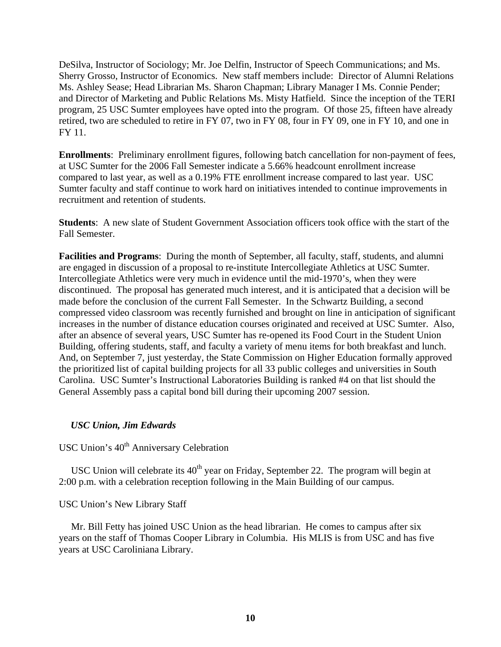DeSilva, Instructor of Sociology; Mr. Joe Delfin, Instructor of Speech Communications; and Ms. Sherry Grosso, Instructor of Economics. New staff members include: Director of Alumni Relations Ms. Ashley Sease; Head Librarian Ms. Sharon Chapman; Library Manager I Ms. Connie Pender; and Director of Marketing and Public Relations Ms. Misty Hatfield. Since the inception of the TERI program, 25 USC Sumter employees have opted into the program. Of those 25, fifteen have already retired, two are scheduled to retire in FY 07, two in FY 08, four in FY 09, one in FY 10, and one in FY 11.

**Enrollments**: Preliminary enrollment figures, following batch cancellation for non-payment of fees, at USC Sumter for the 2006 Fall Semester indicate a 5.66% headcount enrollment increase compared to last year, as well as a 0.19% FTE enrollment increase compared to last year. USC Sumter faculty and staff continue to work hard on initiatives intended to continue improvements in recruitment and retention of students.

**Students**: A new slate of Student Government Association officers took office with the start of the Fall Semester.

**Facilities and Programs**: During the month of September, all faculty, staff, students, and alumni are engaged in discussion of a proposal to re-institute Intercollegiate Athletics at USC Sumter. Intercollegiate Athletics were very much in evidence until the mid-1970's, when they were discontinued. The proposal has generated much interest, and it is anticipated that a decision will be made before the conclusion of the current Fall Semester. In the Schwartz Building, a second compressed video classroom was recently furnished and brought on line in anticipation of significant increases in the number of distance education courses originated and received at USC Sumter. Also, after an absence of several years, USC Sumter has re-opened its Food Court in the Student Union Building, offering students, staff, and faculty a variety of menu items for both breakfast and lunch. And, on September 7, just yesterday, the State Commission on Higher Education formally approved the prioritized list of capital building projects for all 33 public colleges and universities in South Carolina. USC Sumter's Instructional Laboratories Building is ranked #4 on that list should the General Assembly pass a capital bond bill during their upcoming 2007 session.

## *USC Union, Jim Edwards*

USC Union's 40<sup>th</sup> Anniversary Celebration

USC Union will celebrate its  $40<sup>th</sup>$  year on Friday, September 22. The program will begin at 2:00 p.m. with a celebration reception following in the Main Building of our campus.

#### USC Union's New Library Staff

 Mr. Bill Fetty has joined USC Union as the head librarian. He comes to campus after six years on the staff of Thomas Cooper Library in Columbia. His MLIS is from USC and has five years at USC Caroliniana Library.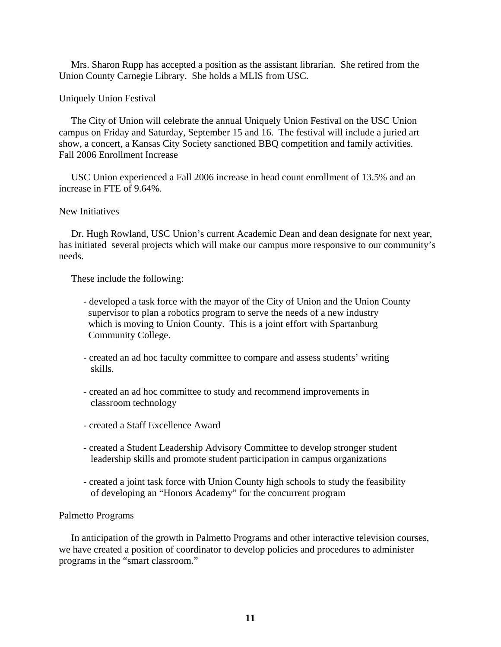Mrs. Sharon Rupp has accepted a position as the assistant librarian. She retired from the Union County Carnegie Library. She holds a MLIS from USC.

#### Uniquely Union Festival

 The City of Union will celebrate the annual Uniquely Union Festival on the USC Union campus on Friday and Saturday, September 15 and 16. The festival will include a juried art show, a concert, a Kansas City Society sanctioned BBQ competition and family activities. Fall 2006 Enrollment Increase

 USC Union experienced a Fall 2006 increase in head count enrollment of 13.5% and an increase in FTE of 9.64%.

### New Initiatives

 Dr. Hugh Rowland, USC Union's current Academic Dean and dean designate for next year, has initiated several projects which will make our campus more responsive to our community's needs.

These include the following:

- developed a task force with the mayor of the City of Union and the Union County supervisor to plan a robotics program to serve the needs of a new industry which is moving to Union County. This is a joint effort with Spartanburg Community College.
- created an ad hoc faculty committee to compare and assess students' writing skills.
- created an ad hoc committee to study and recommend improvements in classroom technology
- created a Staff Excellence Award
- created a Student Leadership Advisory Committee to develop stronger student leadership skills and promote student participation in campus organizations
- created a joint task force with Union County high schools to study the feasibility of developing an "Honors Academy" for the concurrent program

#### Palmetto Programs

 In anticipation of the growth in Palmetto Programs and other interactive television courses, we have created a position of coordinator to develop policies and procedures to administer programs in the "smart classroom."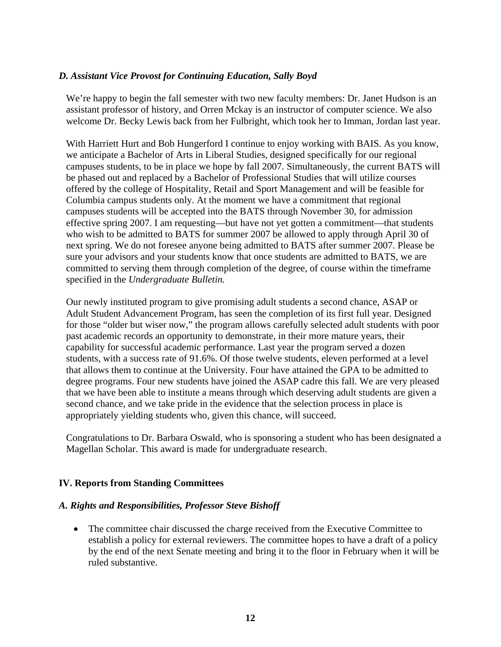## *D. Assistant Vice Provost for Continuing Education, Sally Boyd*

We're happy to begin the fall semester with two new faculty members: Dr. Janet Hudson is an assistant professor of history, and Orren Mckay is an instructor of computer science. We also welcome Dr. Becky Lewis back from her Fulbright, which took her to Imman, Jordan last year.

With Harriett Hurt and Bob Hungerford I continue to enjoy working with BAIS. As you know, we anticipate a Bachelor of Arts in Liberal Studies, designed specifically for our regional campuses students, to be in place we hope by fall 2007. Simultaneously, the current BATS will be phased out and replaced by a Bachelor of Professional Studies that will utilize courses offered by the college of Hospitality, Retail and Sport Management and will be feasible for Columbia campus students only. At the moment we have a commitment that regional campuses students will be accepted into the BATS through November 30, for admission effective spring 2007. I am requesting—but have not yet gotten a commitment—that students who wish to be admitted to BATS for summer 2007 be allowed to apply through April 30 of next spring. We do not foresee anyone being admitted to BATS after summer 2007. Please be sure your advisors and your students know that once students are admitted to BATS, we are committed to serving them through completion of the degree, of course within the timeframe specified in the *Undergraduate Bulletin.* 

Our newly instituted program to give promising adult students a second chance, ASAP or Adult Student Advancement Program, has seen the completion of its first full year. Designed for those "older but wiser now," the program allows carefully selected adult students with poor past academic records an opportunity to demonstrate, in their more mature years, their capability for successful academic performance. Last year the program served a dozen students, with a success rate of 91.6%. Of those twelve students, eleven performed at a level that allows them to continue at the University. Four have attained the GPA to be admitted to degree programs. Four new students have joined the ASAP cadre this fall. We are very pleased that we have been able to institute a means through which deserving adult students are given a second chance, and we take pride in the evidence that the selection process in place is appropriately yielding students who, given this chance, will succeed.

Congratulations to Dr. Barbara Oswald, who is sponsoring a student who has been designated a Magellan Scholar. This award is made for undergraduate research.

## **IV. Reports from Standing Committees**

## *A. Rights and Responsibilities, Professor Steve Bishoff*

• The committee chair discussed the charge received from the Executive Committee to establish a policy for external reviewers. The committee hopes to have a draft of a policy by the end of the next Senate meeting and bring it to the floor in February when it will be ruled substantive.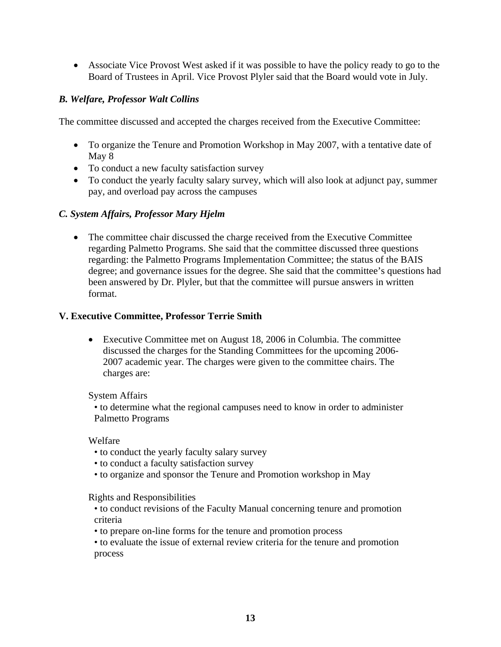• Associate Vice Provost West asked if it was possible to have the policy ready to go to the Board of Trustees in April. Vice Provost Plyler said that the Board would vote in July.

## *B. Welfare, Professor Walt Collins*

The committee discussed and accepted the charges received from the Executive Committee:

- To organize the Tenure and Promotion Workshop in May 2007, with a tentative date of May 8
- To conduct a new faculty satisfaction survey
- To conduct the yearly faculty salary survey, which will also look at adjunct pay, summer pay, and overload pay across the campuses

## *C. System Affairs, Professor Mary Hjelm*

• The committee chair discussed the charge received from the Executive Committee regarding Palmetto Programs. She said that the committee discussed three questions regarding: the Palmetto Programs Implementation Committee; the status of the BAIS degree; and governance issues for the degree. She said that the committee's questions had been answered by Dr. Plyler, but that the committee will pursue answers in written format.

### **V. Executive Committee, Professor Terrie Smith**

• Executive Committee met on August 18, 2006 in Columbia. The committee discussed the charges for the Standing Committees for the upcoming 2006- 2007 academic year. The charges were given to the committee chairs. The charges are:

System Affairs

• to determine what the regional campuses need to know in order to administer Palmetto Programs

Welfare

- to conduct the yearly faculty salary survey
- to conduct a faculty satisfaction survey
- to organize and sponsor the Tenure and Promotion workshop in May

Rights and Responsibilities

- to conduct revisions of the Faculty Manual concerning tenure and promotion criteria
- to prepare on-line forms for the tenure and promotion process

• to evaluate the issue of external review criteria for the tenure and promotion process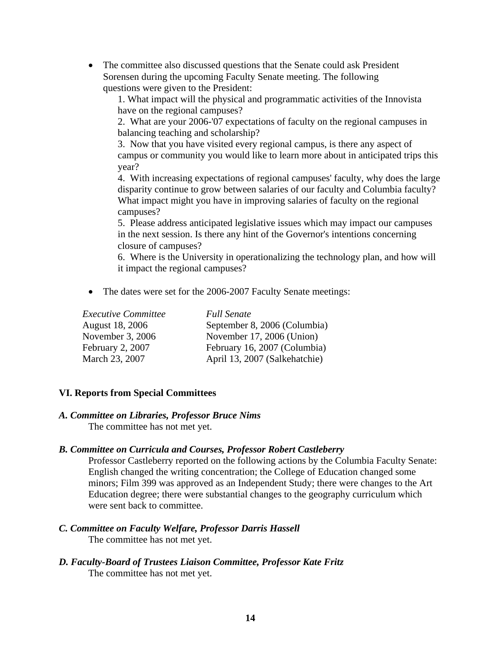• The committee also discussed questions that the Senate could ask President Sorensen during the upcoming Faculty Senate meeting. The following questions were given to the President:

1. What impact will the physical and programmatic activities of the Innovista have on the regional campuses?

2. What are your 2006-'07 expectations of faculty on the regional campuses in balancing teaching and scholarship?

3. Now that you have visited every regional campus, is there any aspect of campus or community you would like to learn more about in anticipated trips this year?

4. With increasing expectations of regional campuses' faculty, why does the large disparity continue to grow between salaries of our faculty and Columbia faculty? What impact might you have in improving salaries of faculty on the regional campuses?

5. Please address anticipated legislative issues which may impact our campuses in the next session. Is there any hint of the Governor's intentions concerning closure of campuses?

6. Where is the University in operationalizing the technology plan, and how will it impact the regional campuses?

• The dates were set for the 2006-2007 Faculty Senate meetings:

| <b>Executive Committee</b> | <b>Full Senate</b>            |
|----------------------------|-------------------------------|
| August 18, 2006            | September 8, 2006 (Columbia)  |
| November 3, 2006           | November 17, 2006 (Union)     |
| February 2, 2007           | February 16, 2007 (Columbia)  |
| March 23, 2007             | April 13, 2007 (Salkehatchie) |

# **VI. Reports from Special Committees**

# *A. Committee on Libraries, Professor Bruce Nims*

The committee has not met yet.

# *B. Committee on Curricula and Courses, Professor Robert Castleberry*

Professor Castleberry reported on the following actions by the Columbia Faculty Senate: English changed the writing concentration; the College of Education changed some minors; Film 399 was approved as an Independent Study; there were changes to the Art Education degree; there were substantial changes to the geography curriculum which were sent back to committee.

### *C. Committee on Faculty Welfare, Professor Darris Hassell*  The committee has not met yet.

*D. Faculty-Board of Trustees Liaison Committee, Professor Kate Fritz*  The committee has not met yet.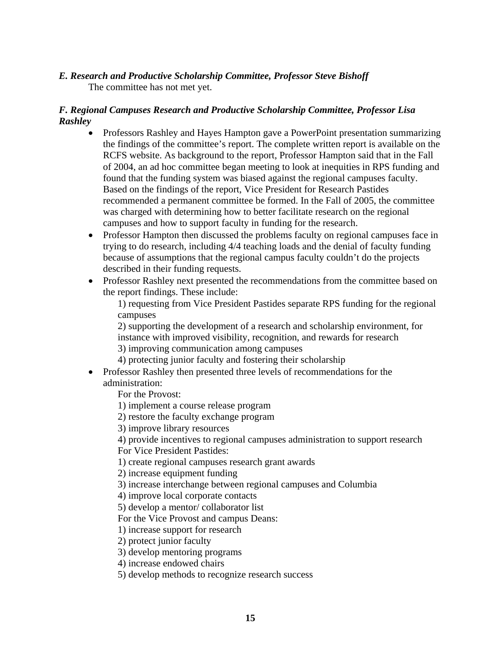# *E. Research and Productive Scholarship Committee, Professor Steve Bishoff*

The committee has not met yet.

# *F. Regional Campuses Research and Productive Scholarship Committee, Professor Lisa Rashley*

- Professors Rashley and Hayes Hampton gave a PowerPoint presentation summarizing the findings of the committee's report. The complete written report is available on the RCFS website. As background to the report, Professor Hampton said that in the Fall of 2004, an ad hoc committee began meeting to look at inequities in RPS funding and found that the funding system was biased against the regional campuses faculty. Based on the findings of the report, Vice President for Research Pastides recommended a permanent committee be formed. In the Fall of 2005, the committee was charged with determining how to better facilitate research on the regional campuses and how to support faculty in funding for the research.
- Professor Hampton then discussed the problems faculty on regional campuses face in trying to do research, including 4/4 teaching loads and the denial of faculty funding because of assumptions that the regional campus faculty couldn't do the projects described in their funding requests.
- Professor Rashley next presented the recommendations from the committee based on the report findings. These include:

 1) requesting from Vice President Pastides separate RPS funding for the regional campuses

 2) supporting the development of a research and scholarship environment, for instance with improved visibility, recognition, and rewards for research 3) improving communication among campuses

4) protecting junior faculty and fostering their scholarship

• Professor Rashley then presented three levels of recommendations for the administration:

For the Provost:

1) implement a course release program

2) restore the faculty exchange program

3) improve library resources

4) provide incentives to regional campuses administration to support research

For Vice President Pastides:

1) create regional campuses research grant awards

2) increase equipment funding

3) increase interchange between regional campuses and Columbia

4) improve local corporate contacts

5) develop a mentor/ collaborator list

For the Vice Provost and campus Deans:

1) increase support for research

2) protect junior faculty

3) develop mentoring programs

4) increase endowed chairs

5) develop methods to recognize research success